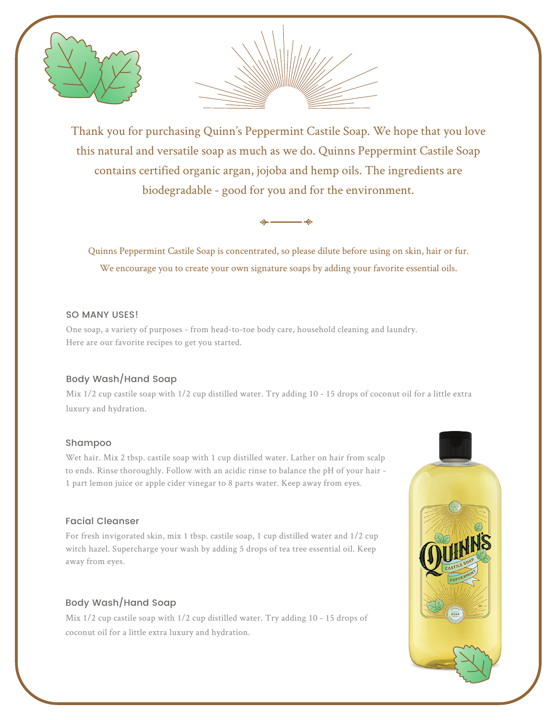



Thank you for purchasing Quinn's Peppermint Castile Soap. We hope that you love this natural and versatile soap as much as we do. Quinns Peppermint Castile Soap contains certified organic argan, jojoba and hemp oils. The ingredients are biodegradable - good for you and for the environment.

Quinns Peppermint Castile Soap is concentrated, so please dilute before using on skin, hair or fur. We encourage you to create your own signature soaps by adding your favorite essential oils.

## SO MANY USES!

One soap, a variety of purposes - from head-to-toe body care, household cleaning and laundry. Here are our favorite recipes to get you started.

# Body Wash/Hand Soap

Mix 1/2 cup castile soap with 1/2 cup distilled water. Try adding 10 - 15 drops of coconut oil for a little extra luxury and hydration.

### Shampoo

Wet hair. Mix 2 tbsp. castile soap with 1 cup distilled water. Lather on hair from scalp to ends. Rinse thoroughly. Follow with an acidic rinse to balance the pH of your hair - 1 part lemon juice or apple cider vinegar to 8 parts water. Keep away from eyes.

### Facial Cleanser

For fresh invigorated skin, mix 1 tbsp. castile soap, 1 cup distilled water and 1/2 cup witch hazel. Supercharge your wash by adding 5 drops of tea tree essential oil. Keep away from eyes.

## Body Wash/Hand Soap

Mix 1/2 cup castile soap with 1/2 cup distilled water. Try adding 10 - 15 drops of coconut oil for a little extra luxury and hydration.

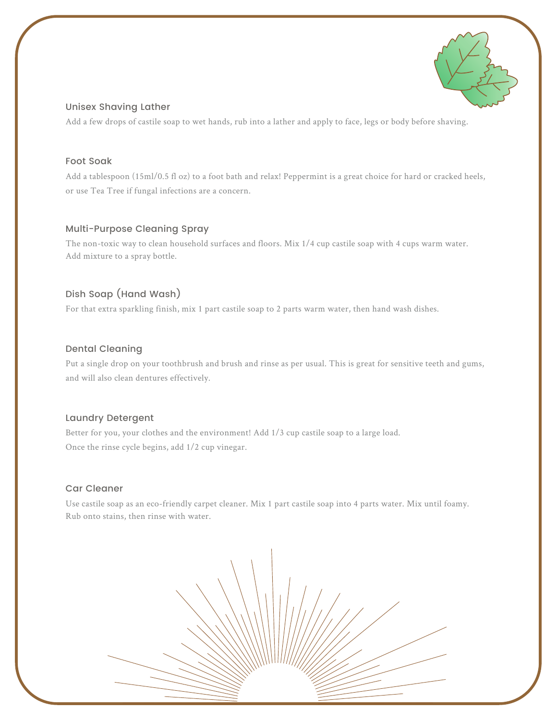

## Unisex Shaving Lather

Add a few drops of castile soap to wet hands, rub into a lather and apply to face, legs or body before shaving.

## Foot Soak

Add a tablespoon (15ml/0.5 fl oz) to a foot bath and relax! Peppermint is a great choice for hard or cracked heels, or use Tea Tree if fungal infections are a concern.

### Multi-Purpose Cleaning Spray

The non-toxic way to clean household surfaces and floors. Mix 1/4 cup castile soap with 4 cups warm water. Add mixture to a spray bottle.

# Dish Soap (Hand Wash)

For that extra sparkling finish, mix 1 part castile soap to 2 parts warm water, then hand wash dishes.

## Dental Cleaning

Put a single drop on your toothbrush and brush and rinse as per usual. This is great for sensitive teeth and gums, and will also clean dentures effectively.

### Laundry Detergent

Better for you, your clothes and the environment! Add 1/3 cup castile soap to a large load. Once the rinse cycle begins, add 1/2 cup vinegar.

### Car Cleaner

Use castile soap as an eco-friendly carpet cleaner. Mix 1 part castile soap into 4 parts water. Mix until foamy. Rub onto stains, then rinse with water.